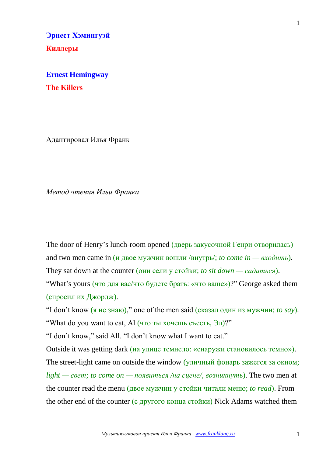**Эрнест Хэмингуэй Киллеры**

**Ernest Hemingway The Killers**

Адаптировал Илья Франк

*Метод чтения Ильи Франка*

The door of Henry's lunch-room opened (дверь закусочной Генри отворилась) and two men came in (и двое мужчин вошли /внутрь/; *to come in —*  $\alpha x$ *одить*).

They sat down at the counter (они сели у стойки; *to sit down — садиться*).

"What's yours (что для вас/что будете брать: «что ваше»)?" George asked them (спросил их Джордж).

"I don't know (я не знаю)," one of the men said (сказал один из мужчин; *to say*). "What do you want to eat, Al (что ты хочешь съесть, Эл)?"

"I don't know," said All. "I don't know what I want to eat."

Outside it was getting dark (на улице темнело: «снаружи становилось темно»). The street-light came on outside the window (уличный фонарь зажегся за окном; *light — свет; to come on — появиться /на сцене/, возникнуть*). The two men at the counter read the menu (двое мужчин у стойки читали меню; *to read*). From the other end of the counter (с другого конца стойки) Nick Adams watched them

1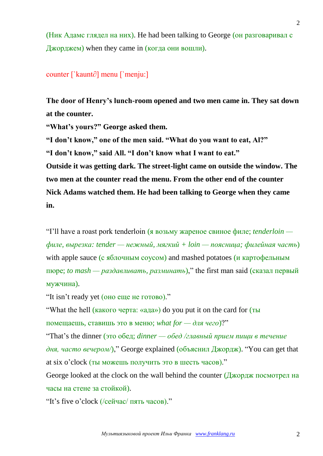(Ник Адамс глядел на них). He had been talking to George (он разговаривал с Джорджем) when they came in (когда они вошли).

#### counter [`kaunt∂] menu [`menju:]

**The door of Henry's lunch-room opened and two men came in. They sat down at the counter.**

**"What's yours?" George asked them.**

**"I don't know," one of the men said. "What do you want to eat, Al?" "I don't know," said All. "I don't know what I want to eat." Outside it was getting dark. The street-light came on outside the window. The two men at the counter read the menu. From the other end of the counter Nick Adams watched them. He had been talking to George when they came** 

**in.**

"I'll have a roast pork tenderloin (я возьму жареное свиное филе; *tenderloin филе, вырезка: tender — нежный, мягкий + loin — поясница; филейная часть*) with apple sauce (с яблочным соусом) and mashed potatoes (и картофельным пюре; *to mash — раздавливать, разминать*)," the first man said (сказал первый мужчина).

"It isn't ready yet (оно еще не готово)."

"What the hell (какого черта: «ада») do you put it on the card for (ты помещаешь, ставишь это в меню; *what for — для чего*)?"

"That's the dinner (это обед; *dinner — обед /главный прием пищи в течение дня, часто вечером/*)," George explained (объяснил Джордж). "You can get that at six o'clock (ты можешь получить это в шесть часов)."

George looked at the clock on the wall behind the counter (Джордж посмотрел на часы на стене за стойкой).

"It's five o'clock (/сейчас/ пять часов)."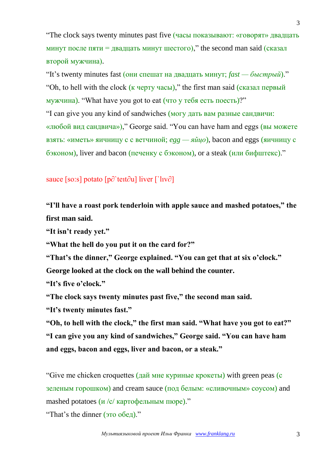"The clock says twenty minutes past five (часы показывают: «говорят» двадцать минут после пяти = двадцать минут шестого)," the second man said (сказал второй мужчина).

"It's twenty minutes fast (они спешат на двадцать минут; *fast — быстрый*)." "Oh, to hell with the clock (к черту часы)," the first man said (сказал первый мужчина). "What have you got to eat (что у тебя есть поесть)?" "I can give you any kind of sandwiches (могу дать вам разные сандвичи: «любой вид сандвича»)," George said. "You can have ham and eggs (вы можете взять: «иметь» яичницу с с ветчиной; *egg — яйцо*), bacon and eggs (яичницу с бэконом), liver and bacon (печенку с бэконом), or a steak (или бифштекс)."

## sauce [so:s] potato [p∂`teıt∂u] liver [`lıv∂]

**"I'll have a roast pork tenderloin with apple sauce and mashed potatoes," the first man said.**

**"It isn't ready yet."**

**"What the hell do you put it on the card for?"**

**"That's the dinner," George explained. "You can get that at six o'clock."**

**George looked at the clock on the wall behind the counter.**

**"It's five o'clock."**

**"The clock says twenty minutes past five," the second man said.**

**"It's twenty minutes fast."**

**"Oh, to hell with the clock," the first man said. "What have you got to eat?" "I can give you any kind of sandwiches," George said. "You can have ham and eggs, bacon and eggs, liver and bacon, or a steak."**

"Give me chicken croquettes (дай мне куриные крокеты) with green peas (с зеленым горошком) and cream sauce (под белым: «сливочным» соусом) and mashed potatoes  $\left(\frac{u}{c}\right)$  картофельным пюре)."

"That's the dinner (это обед)."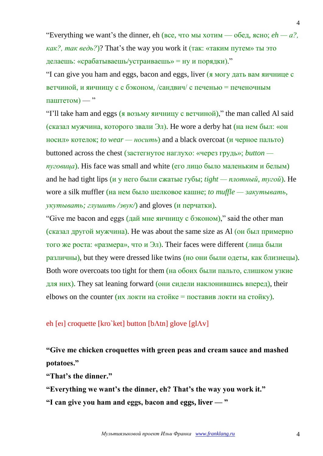"Everything we want's the dinner,  $eh$  (все, что мы хотим — обед, ясно;  $eh - a$ ?). *как?, так ведь?*)? That's the way you work it (так: «таким путем» ты это делаешь: «срабатываешь/устраиваешь» = ну и порядки)."

"I can give you ham and eggs, bacon and eggs, liver (я могу дать вам яичницe с ветчиной, и яичницу с с бэконом, /сандвич/ с печенью = печеночным паштетом) — "

"I'll take ham and eggs (я возьму яичницу с ветчиной)," the man called Al said (сказал мужчина, которого звали Эл). He wore a derby hat (на нем был: «он носил» котелок; *to wear — носить*) and a black overcoat (и черное пальто) buttoned across the chest (застегнутое наглухо: «через грудь»; *button пуговица*). His face was small and white (его лицо было маленьким и белым) and he had tight lips (и у него были сжатые губы; *tight — плотный, тугой*). He wore a silk muffler (на нем было шелковое кашне; *to muffle — закутывать, укутывать; глушить /звук/*) and gloves (и перчатки).

"Give me bacon and eggs (дай мне яичницу с бэконом)," said the other man (сказал другой мужчина). He was about the same size as Al (он был примерно того же роста: «размера», что и Эл). Their faces were different (лица были различны), but they were dressed like twins (но они были одеты, как близнецы). Both wore overcoats too tight for them (на обоих были пальто, слишком узкие для них). They sat leaning forward (они сидели наклонившись вперед), their elbows on the counter (их локти на стойке = поставив локти на стойку).

#### eh [eɪ] croquette [kro`ket] button [b $\Lambda$ tn] glove [g $\Lambda$ v]

# **"Give me chicken croquettes with green peas and cream sauce and mashed potatoes."**

**"That's the dinner."**

**"Everything we want's the dinner, eh? That's the way you work it."**

**"I can give you ham and eggs, bacon and eggs, liver — "**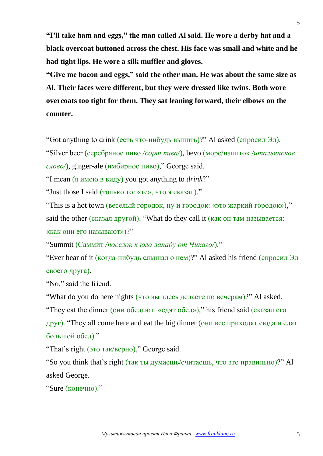**"I'll take ham and eggs," the man called Al said. He wore a derby hat and a black overcoat buttoned across the chest. His face was small and white and he had tight lips. He wore a silk muffler and gloves.**

**"Give me bacon and eggs," said the other man. He was about the same size as Al. Their faces were different, but they were dressed like twins. Both wore overcoats too tight for them. They sat leaning forward, their elbows on the counter.**

"Got anything to drink (есть что-нибудь выпить)?" Al asked (спросил Эл).

"Silver beer (серебряное пиво */сорт пива/*), bevo (морс/напиток */итальянское слово/*), ginger-ale (имбирное пиво)," George said.

"I mean (я имею в виду) you got anything to *drink*?"

"Just those I said (только то: «те», что я сказал)."

"This is a hot town (веселый городок, ну и городок: «это жаркий городок»)," said the other (сказал другой). "What do they call it (как он там называется: «как они его называют»)?"

"Summit (Саммит */поселок к юго-западу от Чикаго/*)."

"Ever hear of it (когда-нибудь слышал о нем)?" Al asked his friend (спросил Эл своего друга).

"No," said the friend.

"What do you do here nights (что вы здесь делаете по вечерам)?" Al asked. "They eat the dinner (они обедают: «едят обед»)," his friend said (сказал его друг). "They all come here and eat the big dinner (они все приходят сюда и едят большой обед)."

"That's right (это так/верно)," George said.

"So you think that's right (так ты думаешь/считаешь, что это правильно)?" Al asked George.

```
"Sure (конечно)."
```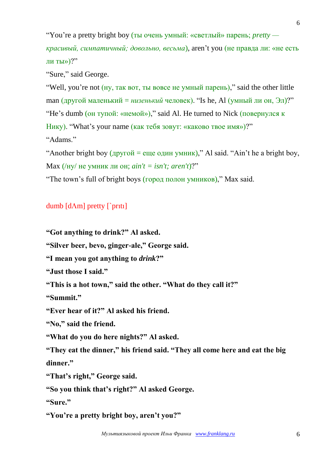"You're a pretty bright boy (ты очень умный: «светлый» парень; *pretty —*

*красивый, симпатичный; довольно, весьма*), aren't you (не правда ли: «не есть ли ты» $)$ ?"

"Sure," said George.

"Well, you're not (ну, так вот, ты вовсе не умный парень)," said the other little man (другой маленький = *низенький* человек). "Is he, Al (умный ли он, Эл)?" "He's dumb (он тупой: «немой»)," said Al. He turned to Nick (повернулся к Нику). "What's your name (как тебя зовут: «каково твое имя»)?" "Adams."

"Another bright boy  $(\mu$ ругой = еще один умник)," Al said. "Ain't he a bright boy, Max (/ну/ не умник ли он; *ain't = isn't; aren't*)?"

"The town's full of bright boys (город полон умников)," Max said.

# dumb  $[d\Lambda m]$  pretty  $\lceil$  priti

**"Got anything to drink?" Al asked.**

**"Silver beer, bevo, ginger-ale," George said.**

**"I mean you got anything to** *drink***?"**

**"Just those I said."**

**"This is a hot town," said the other. "What do they call it?"**

**"Summit."**

**"Ever hear of it?" Al asked his friend.**

**"No," said the friend.**

**"What do you do here nights?" Al asked.**

**"They eat the dinner," his friend said. "They all come here and eat the big dinner."**

**"That's right," George said.**

**"So you think that's right?" Al asked George.**

**"Sure."**

**"You're a pretty bright boy, aren't you?"**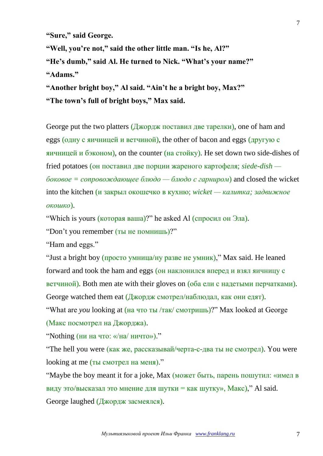**"Sure," said George.**

**"Well, you're not," said the other little man. "Is he, Al?"**

**"He's dumb," said Al. He turned to Nick. "What's your name?"**

**"Adams."**

**"Another bright boy," Al said. "Ain't he a bright boy, Max?" "The town's full of bright boys," Max said.**

George put the two platters (Джордж поставил две тарелки), one of ham and eggs (одну с яичницей и ветчиной), the other of bacon and eggs (другую с яичницей и бэконом), on the counter (на стойку). He set down two side-dishes of fried potatoes (он поставил две порции жареного картофеля; *siede-dish боковое = сопровождающее блюдо — блюдо с гарниром*) and closed the wicket into the kitchen (и закрыл окошечко в кухню; *wicket — калитка; задвижное окошко*).

"Which is yours (которая ваша)?" he asked Al (спросил он Эла).

"Don't you remember (ты не помнишь)?"

"Ham and eggs."

"Just a bright boy (просто умница/ну разве не умник)," Max said. He leaned forward and took the ham and eggs (он наклонился вперед и взял яичницу с ветчиной). Both men ate with their gloves on (оба ели с надетыми перчатками). George watched them eat  $(\frac{\pi}{4}$ жордж смотрел/наблюдал, как они едят).

"What are *you* looking at (на что ты /так/ смотришь)?" Max looked at George (Макс посмотрел на Джорджа).

"Nothing (ни на что: «/на/ ничто»)."

"The hell you were (как же, рассказывай/черта-с-два ты не смотрел). You were looking at me (ты смотрел на меня)."

"Maybe the boy meant it for a joke, Max (может быть, парень пошутил: «имел в виду это/высказал это мнение для шутки = как шутку», Макс)," Al said. George laughed (Джордж засмеялся).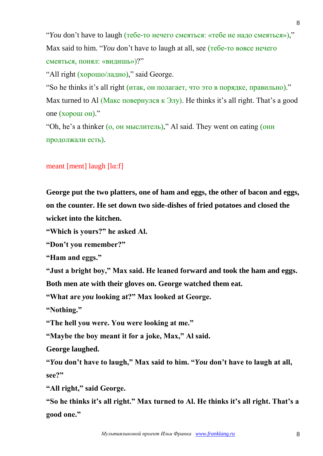"*You* don't have to laugh (тебе-то нечего смеяться: «тебе не надо смеяться»)," Max said to him. "*You* don't have to laugh at all, see (тебе-то вовсе нечего смеяться, понял: «видишь»)?"

"All right (хорошо/ладно)," said George.

"So he thinks it's all right (итак, он полагает, что это в порядке, правильно)." Max turned to Al (Макс повернулся к Элу). He thinks it's all right. That's a good one (хорош он)."

"Oh, he's a thinker (о, он мыслитель)," Al said. They went on eating (они продолжали есть).

# meant [ment] laugh [lα:f]

**George put the two platters, one of ham and eggs, the other of bacon and eggs, on the counter. He set down two side-dishes of fried potatoes and closed the wicket into the kitchen.**

**"Which is yours?" he asked Al.**

**"Don't you remember?"**

**"Ham and eggs."**

**"Just a bright boy," Max said. He leaned forward and took the ham and eggs.** 

**Both men ate with their gloves on. George watched them eat.**

**"What are** *you* **looking at?" Max looked at George.**

**"Nothing."**

**"The hell you were. You were looking at me."**

**"Maybe the boy meant it for a joke, Max," Al said.**

**George laughed.**

**"***You* **don't have to laugh," Max said to him. "***You* **don't have to laugh at all, see?"**

**"All right," said George.**

**"So he thinks it's all right." Max turned to Al. He thinks it's all right. That's a good one."**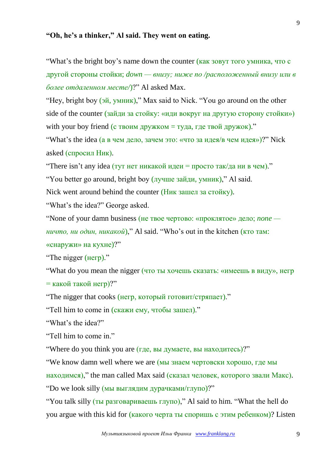## **"Oh, he's a thinker," Al said. They went on eating.**

"What's the bright boy's name down the counter (как зовут того умника, что с другой стороны стойки; *down — внизу; ниже по /расположенный внизу или в более отдаленном месте/*)?" Al asked Max.

"Hey, bright boy (эй, умник)," Max said to Nick. "You go around on the other side of the counter (зайди за стойку: «иди вокруг на другую сторону стойки») with your boy friend (с твоим дружком = туда, где твой дружок)."

"What's the idea (а в чем дело, зачем это: «что за идея/в чем идея»)?" Nick asked (спросил Ник).

"There isn't any idea (тут нет никакой идеи = просто так/да ни в чем)."

"You better go around, bright boy (лучше зайди, умник)," Al said.

Nick went around behind the counter (Ник зашел за стойку).

"What's the idea?" George asked.

"None of your damn business (не твое чертово: «проклятое» дело; *none —*

*ничто, ни один, никакой*)," Al said. "Who's out in the kitchen (кто там: «снаружи» на кухне)?"

"The nigger (негр)."

"What do you mean the nigger (что ты хочешь сказать: «имеешь в виду», негр = какой такой негр)?"

"The nigger that cooks (негр, который готовит/стряпает)."

"Tell him to come in (скажи ему, чтобы зашел)."

"What's the idea?"

"Tell him to come in."

"Where do you think you are (где, вы думаете, вы находитесь)?"

"We know damn well where we are (мы знаем чертовски хорошо, где мы находимся)," the man called Max said (сказал человек, которого звали Макс). "Do we look silly (мы выглядим дурачками/глупо)?"

"You talk silly (ты разговариваешь глупо)," Al said to him. "What the hell do you argue with this kid for (какого черта ты споришь с этим ребенком)? Listen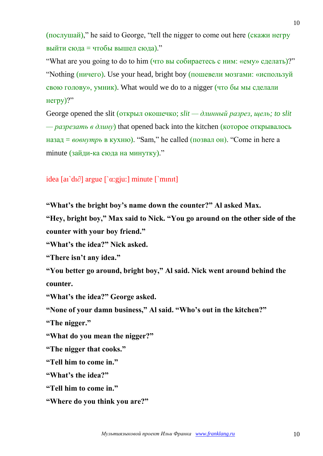(послушай)," he said to George, "tell the nigger to come out here (скажи негру выйти сюда = чтобы вышел сюда)."

"What are you going to do to him (что вы собираетесь с ним: «ему» сделать)?" "Nothing (ничего). Use your head, bright boy (пошевели мозгами: «используй свою голову», умник). What would we do to a nigger (что бы мы сделали негру)?"

George opened the slit (открыл окошечко; *slit — длинный разрез, щель; to slit — разрезать в длину*) that opened back into the kitchen (которое открывалось назад = *вовнутрь* в кухню). "Sam," he called (позвал он). "Come in here a minute (зайди-ка сюда на минутку)."

idea [aı`dı∂] argue [`α:gju:] minute [`mınıt]

**"What's the bright boy's name down the counter?" Al asked Max.**

**"Hey, bright boy," Max said to Nick. "You go around on the other side of the counter with your boy friend."**

**"What's the idea?" Nick asked.**

**"There isn't any idea."**

**"You better go around, bright boy," Al said. Nick went around behind the counter.**

**"What's the idea?" George asked.**

**"None of your damn business," Al said. "Who's out in the kitchen?"**

**"The nigger."**

**"What do you mean the nigger?"**

**"The nigger that cooks."**

**"Tell him to come in."**

**"What's the idea?"** 

**"Tell him to come in."**

**"Where do you think you are?"**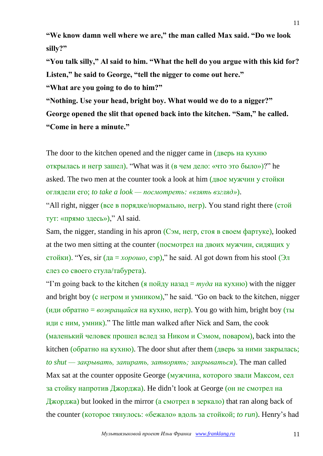**"We know damn well where we are," the man called Max said. "Do we look silly?"**

**"You talk silly," Al said to him. "What the hell do you argue with this kid for? Listen," he said to George, "tell the nigger to come out here."**

**"What are you going to do to him?"**

**"Nothing. Use your head, bright boy. What would we do to a nigger?" George opened the slit that opened back into the kitchen. "Sam," he called. "Come in here a minute."**

The door to the kitchen opened and the nigger came in (дверь на кухню открылась и негр зашел). "What was it (в чем дело: «что это было»)?" he asked. The two men at the counter took a look at him (двое мужчин у стойки оглядели его; *to take a look — посмотреть: «взять взгляд»*).

"All right, nigger (все в порядке/нормально, негр). You stand right there (стой тут: «прямо здесь»)," Al said.

Sam, the nigger, standing in his apron (Сэм, негр, стоя в своем фартуке), looked at the two men sitting at the counter (посмотрел на двоих мужчин, сидящих у стойки). "Yes, sir (да = *хорошо*, сэр)," he said. Al got down from his stool (Эл слез со своего стула/табурета).

"I'm going back to the kitchen (я пойду назад  $= mvda$  на кухню) with the nigger and bright boy (с негром и умником)," he said. "Go on back to the kitchen, nigger  $(\mu \mu \nu)$  обратно = *возвращайся* на кухню, негр). You go with him, bright boy (ты иди с ним, умник)." The little man walked after Nick and Sam, the cook (маленький человек прошел вслед за Ником и Сэмом, поваром), back into the kitchen (обратно на кухню). The door shut after them (дверь за ними закрылась; *to shut — закрывать, запирать, затворять; закрываться*). The man called Max sat at the counter opposite George (мужчина, которого звали Максом, сел за стойку напротив Джорджа). He didn't look at George (он не смотрел на Джорджа) but looked in the mirror (а смотрел в зеркало) that ran along back of the counter (которое тянулось: «бежало» вдоль за стойкой; *to run*). Henry's had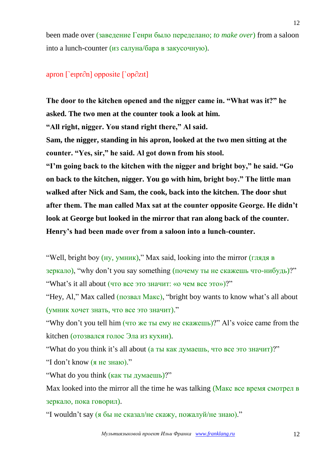been made over (заведение Генри было переделано; *to make over*) from a saloon into a lunch-counter (из салуна/бара в закусочную).

#### apron [`eıpr∂n] opposite [`op∂zıt]

**The door to the kitchen opened and the nigger came in. "What was it?" he asked. The two men at the counter took a look at him.**

**"All right, nigger. You stand right there," Al said.**

**Sam, the nigger, standing in his apron, looked at the two men sitting at the counter. "Yes, sir," he said. Al got down from his stool.**

**"I'm going back to the kitchen with the nigger and bright boy," he said. "Go on back to the kitchen, nigger. You go with him, bright boy." The little man walked after Nick and Sam, the cook, back into the kitchen. The door shut after them. The man called Max sat at the counter opposite George. He didn't look at George but looked in the mirror that ran along back of the counter. Henry's had been made over from a saloon into a lunch-counter.**

"Well, bright boy (ну, умник)," Max said, looking into the mirror (глядя в  $\gamma$  зеркало), "why don't you say something (почему ты не скажешь что-нибудь)?" "What's it all about (что все это значит: «о чем все это»)?"

"Hey, Al," Max called (позвал Макс), "bright boy wants to know what's all about (умник хочет знать, что все это значит)."

"Why don't you tell him (что же ты ему не скажешь)?" Al's voice came from the kitchen (отозвался голос Эла из кухни).

"What do you think it's all about (а ты как думаешь, что все это значит)?"

"I don't know (я не знаю)."

"What do you think (как ты думаешь)?"

Max looked into the mirror all the time he was talking (Макс все время смотрел в зеркало, пока говорил).

"I wouldn't say (я бы не сказал/не скажу, пожалуй/не знаю)."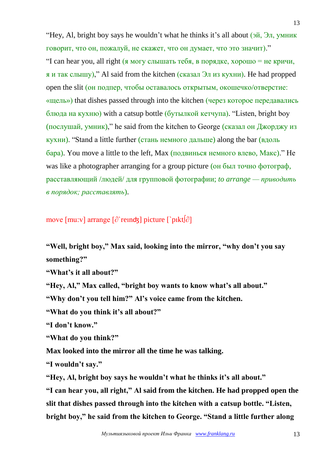"Hey, Al, bright boy says he wouldn't what he thinks it's all about (эй, Эл, умник говорит, что он, пожалуй, не скажет, что он думает, что это значит)." "I can hear you, all right (я могу слышать тебя, в порядке, хорошо = не кричи, я и так слышу)," Al said from the kitchen (сказал Эл из кухни). He had propped open the slit (он подпер, чтобы оставалось открытым, окошечко/отверстие: «щель») that dishes passed through into the kitchen (через которое передавались блюда на кухню) with a catsup bottle (бутылкой кетчупа). "Listen, bright boy (послушай, умник)," he said from the kitchen to George (сказал он Джорджу из кухни). "Stand a little further (стань немного дальше) along the bar (вдоль бара). You move a little to the left, Max (подвинься немного влево, Макс)." He was like a photographer arranging for a group picture (он был точно фотограф, расставляющий /людей/ для групповой фотографии; *to arrange — приводить в порядок; расставлять*).

move [mu:v] arrange [∂`reınʤ] picture [`pıkt∫∂]

**"Well, bright boy," Max said, looking into the mirror, "why don't you say something?"**

**"What's it all about?"**

**"Hey, Al," Max called, "bright boy wants to know what's all about."**

**"Why don't you tell him?" Al's voice came from the kitchen.**

**"What do you think it's all about?"**

**"I don't know."**

**"What do you think?"**

**Max looked into the mirror all the time he was talking.**

**"I wouldn't say."**

**"Hey, Al, bright boy says he wouldn't what he thinks it's all about."**

**"I can hear you, all right," Al said from the kitchen. He had propped open the slit that dishes passed through into the kitchen with a catsup bottle. "Listen, bright boy," he said from the kitchen to George. "Stand a little further along**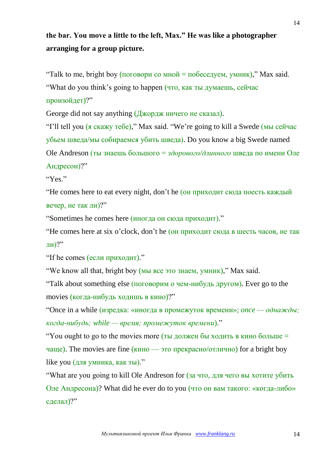# **the bar. You move a little to the left, Max." He was like a photographer arranging for a group picture.**

"Talk to me, bright boy (поговори со мной = побеседуем, умник)," Max said. "What do you think's going to happen (что, как ты думаешь, сейчас произойдет)?"

George did not say anything (Джордж ничего не сказал).

"I'll tell you (я скажу тебе)," Max said. "We're going to kill a Swede (мы сейчас убьем шведа/мы собираемся убить шведа). Do you know a big Swede named Ole Andreson (ты знаешь большого = *здорового/длинного* шведа по имени Оле Андресон)?"

"Yes."

"He comes here to eat every night, don't he (он приходит сюда поесть каждый вечер, не так ли)?"

"Sometimes he comes here (иногда он сюда приходит)."

"He comes here at six o'clock, don't he (он приходит сюда в шесть часов, не так ли)?"

"If he comes (если приходит)."

"We know all that, bright boy (мы все это знаем, умник)," Max said.

"Talk about something else (поговорим о чем-нибудь другом). Ever go to the movies (когда-нибудь ходишь в кино)?"

"Once in a while (изредка: «иногда в промежуток времени»; *once — однажды; когда-нибудь; while — время; промежуток времени*)."

"You ought to go to the movies more (ты должен бы ходить в кино больше  $=$ чаще). The movies are fine (кино — это прекрасно/отлично) for a bright boy like you (для умника, как ты)."

"What are you going to kill Ole Andreson for (за что, для чего вы хотите убить Оле Андресона)? What did he ever do to you (что он вам такого: «когда-либо» сделал)?"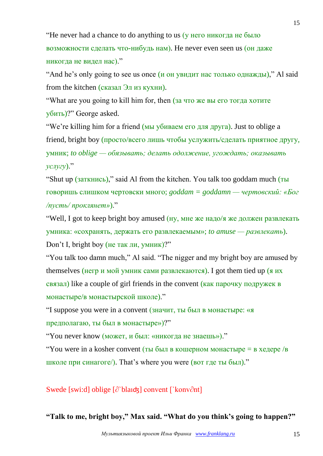"He never had a chance to do anything to us (у него никогда не было возможности сделать что-нибудь нам). He never even seen us (он даже никогда не видел нас)."

"And he's only going to see us once (и он увидит нас только однажды)," Al said from the kitchen (сказал Эл из кухни).

"What are you going to kill him for, then (за что же вы его тогда хотите убить)?" George asked.

"We're killing him for a friend (мы убиваем его для друга). Just to oblige a friend, bright boy (просто/всего лишь чтобы услужить/сделать приятное другу, умник; *to oblige — обязывать; делать одолжение, угождать; оказывать услугу*)."

"Shut up (заткнись)," said Al from the kitchen. You talk too goddam much (ты говоришь слишком чертовски много; *goddam = goddamn — чертовский: «Бог /пусть/ проклянет»*)."

"Well, I got to keep bright boy amused (ну, мне же надо/я же должен развлекать умника: «сохранять, держать его развлекаемым»; *to amuse — развлекать*). Don't I, bright boy (не так ли, умник)?"

"You talk too damn much," Al said. "The nigger and my bright boy are amused by themselves (негр и мой умник сами развлекаются). I got them tied up (я их связал) like a couple of girl friends in the convent (как парочку подружек в монастыре/в монастырской школе)."

"I suppose you were in a convent (значит, ты был в монастыре: «я предполагаю, ты был в монастыре»)?"

"You never know (может, и был: «никогда не знаешь»)."

"You were in a kosher convent (ты был в кошерном монастыре = в хедере /в школе при синагоге/). That's where you were (вот где ты был)."

Swede [swi:d] oblige [∂`blaıʤ] convent [`konv∂nt]

**"Talk to me, bright boy," Max said. "What do you think's going to happen?"**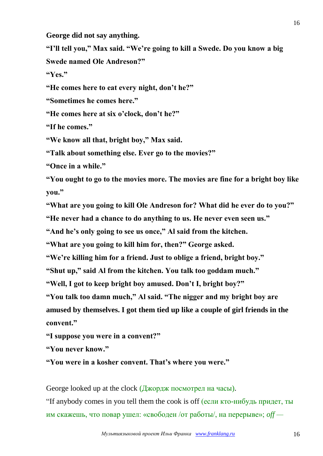**George did not say anything.**

**"I'll tell you," Max said. "We're going to kill a Swede. Do you know a big Swede named Ole Andreson?"**

**"Yes."**

**"He comes here to eat every night, don't he?"**

**"Sometimes he comes here."**

**"He comes here at six o'clock, don't he?"**

**"If he comes."**

**"We know all that, bright boy," Max said.**

**"Talk about something else. Ever go to the movies?"**

**"Once in a while."**

**"You ought to go to the movies more. The movies are fine for a bright boy like you."**

**"What are you going to kill Ole Andreson for? What did he ever do to you?"**

**"He never had a chance to do anything to us. He never even seen us."**

**"And he's only going to see us once," Al said from the kitchen.**

**"What are you going to kill him for, then?" George asked.**

**"We're killing him for a friend. Just to oblige a friend, bright boy."**

**"Shut up," said Al from the kitchen. You talk too goddam much."**

**"Well, I got to keep bright boy amused. Don't I, bright boy?"**

**"You talk too damn much," Al said. "The nigger and my bright boy are** 

**amused by themselves. I got them tied up like a couple of girl friends in the convent."**

**"I suppose you were in a convent?"**

**"You never know."**

**"You were in a kosher convent. That's where you were."**

George looked up at the clock (Джордж посмотрел на часы).

"If anybody comes in you tell them the cook is off (если кто-нибудь придет, ты им скажешь, что повар ушел: «свободен /от работы/, на перерыве»; *off —*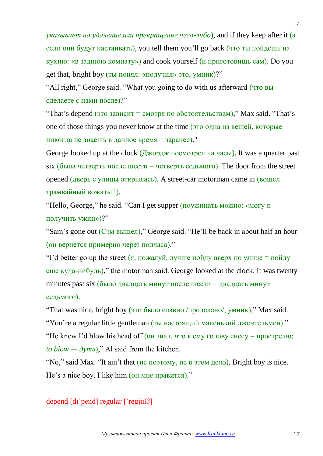*указывает на удаление или прекращение чего-либо*), and if they keep after it (а если они будут настаивать), you tell them you'll go back (что ты пойдешь на кухню: «в заднюю комнату») and cook yourself (и приготовишь сам). Do you get that, bright boy (ты понял: «получил» это, умник)?"

"All right," George said. "What you going to do with us afterward (что вы сделаете с нами после)?"

"That's depend (это зависит = смотря по обстоятельствам)," Max said. "That's one of those things you never know at the time (это одна из вещей, которые никогда не знаешь в данное время = заранее)."

George looked up at the clock (Джордж посмотрел на часы). It was a quarter past six (была четверть после шести = четверть седьмого). The door from the street opened (дверь с улицы открылась). A street-car motorman came in (вошел трамвайный вожатый).

"Hello, George," he said. "Can I get supper (поужинать можно: «могу я получить ужин»)?"

"Sam's gone out (Сэм вышел)," George said. "He'll be back in about half an hour (он вернется примерно через полчаса)."

"I'd better go up the street (я, пожалуй, лучше пойду вверх по улице = пойду еще куда-нибудь)," the motorman said. George looked at the clock. It was twenty minutes past six (было двадцать минут после шести = двадцать минут седьмого).

"That was nice, bright boy (это было славно /проделано/, умник)," Max said.

"You're a regular little gentleman (ты настоящий маленький джентельмен)."

"Не knew I'd blow his head off (он знал, что я ему голову снесу = прострелю; *to blow —*  $\partial y$ *mb*)," Al said from the kitchen.

"No," said Max. "It ain't that (не поэтому, не в этом дело). Bright boy is nice. He's a nice boy. I like him (он мне нравится)."

depend [dı`pend] regular [`regjul∂]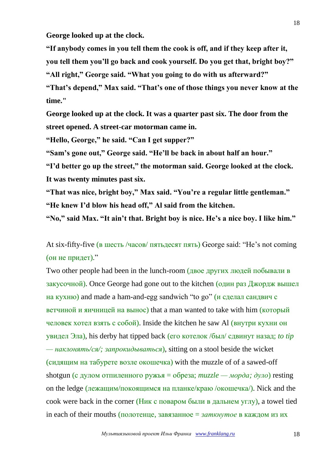**George looked up at the clock.**

**"If anybody comes in you tell them the cook is off, and if they keep after it, you tell them you'll go back and cook yourself. Do you get that, bright boy?"**

**"All right," George said. "What you going to do with us afterward?"**

**"That's depend," Max said. "That's one of those things you never know at the time."**

**George looked up at the clock. It was a quarter past six. The door from the street opened. A street-car motorman came in.**

**"Hello, George," he said. "Can I get supper?"**

**"Sam's gone out," George said. "He'll be back in about half an hour."**

**"I'd better go up the street," the motorman said. George looked at the clock. It was twenty minutes past six.**

**"That was nice, bright boy," Max said. "You're a regular little gentleman." "He knew I'd blow his head off," Al said from the kitchen.**

**"No," said Max. "It ain't that. Bright boy is nice. He's a nice boy. I like him."**

At six-fifty-five (в шесть /часов/ пятьдесят пять) George said: "He's not coming (он не придет)."

Two other people had been in the lunch-room (двое других людей побывали в закусочной). Once George had gone out to the kitchen (один раз Джордж вышел на кухню) and made a ham-and-egg sandwich "to go" (и сделал сандвич с ветчиной и яичницей на вынос) that a man wanted to take with him (который человек хотел взять с собой). Inside the kitchen he saw Al (внутри кухни он увидел Эла), his derby hat tipped back (его котелок /был/ сдвинут назад; *to tip — наклонять/ся/; запрокидываться*), sitting on a stool beside the wicket (сидящим на табурете возле окошечка) with the muzzle of of a sawed-off shotgun (с дулом отпиленного ружья = обреза;  $muzzle - \mu opda$ ;  $\partial y\psi$ ) resting on the ledge (лежащим/покоящимся на планке/краю /окошечка/). Nick and the cook were back in the corner (Ник с поваром были в дальнем углу), a towel tied in each of their mouths (полотенце, завязанное = *заткнутое* в каждом из их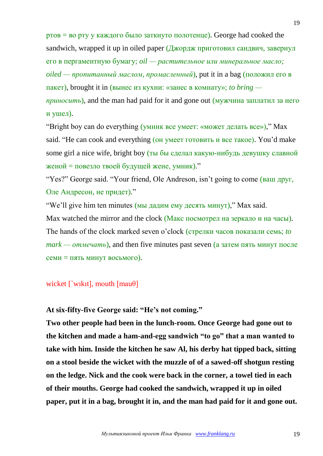ртов = во рту у каждого было заткнуто полотенце). George had cooked the sandwich, wrapped it up in oiled paper  $(\frac{\pi}{4}$ жордж приготовил сандвич, завернул его в пергаментную бумагу; *oil — растительное или минеральное масло; oiled — пропитанный маслом, промасленный*), put it in a bag (положил его в пакет), brought it in (вынес из кухни: «занес в комнату»; *to bring приносить*), and the man had paid for it and gone out (мужчина заплатил за него и ушел).

"Bright boy can do everything (умник все умеет: «может делать все»)," Max said. "He can cook and everything (он умеет готовить и все такое). You'd make some girl a nice wife, bright boy (ты бы сделал какую-нибудь девушку славной женой = повезло твоей будущей жене, умник)."

"Yes?" George said. "Your friend, Ole Andreson, isn't going to come (ваш друг, Оле Андресон, не придет)."

"We'll give him ten minutes (мы дадим ему десять минут)," Max said. Max watched the mirror and the clock (Макс посмотрел на зеркало и на часы). The hands of the clock marked seven o'clock (стрелки часов показали семь; *to mark — отмечать*), and then five minutes past seven (а затем пять минут после семи = пять минут восьмого).

wicket [`wikit], mouth [mauθ]

**At six-fifty-five George said: "He's not coming."**

**Two other people had been in the lunch-room. Once George had gone out to the kitchen and made a ham-and-egg sandwich "to go" that a man wanted to take with him. Inside the kitchen he saw Al, his derby hat tipped back, sitting on a stool beside the wicket with the muzzle of of a sawed-off shotgun resting on the ledge. Nick and the cook were back in the corner, a towel tied in each of their mouths. George had cooked the sandwich, wrapped it up in oiled paper, put it in a bag, brought it in, and the man had paid for it and gone out.**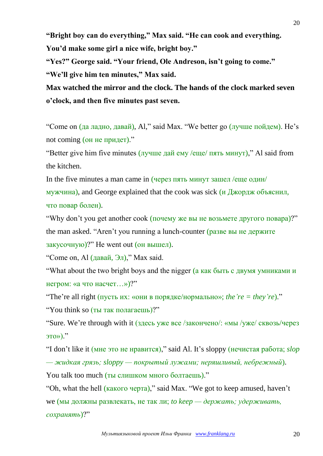**"Bright boy can do everything," Max said. "He can cook and everything. You'd make some girl a nice wife, bright boy."**

**"Yes?" George said. "Your friend, Ole Andreson, isn't going to come."**

**"We'll give him ten minutes," Max said.**

**Max watched the mirror and the clock. The hands of the clock marked seven o'clock, and then five minutes past seven.**

"Come on (да ладно, давай), Al," said Max. "We better go (лучше пойдем). He's not coming (он не придет)."

"Better give him five minutes (лучше дай ему /еще/ пять минут)," Al said from the kitchen.

In the five minutes a man came in (через пять минут зашел /еще один/ мужчина), and George explained that the cook was sick (и Джордж объяснил, что повар болен).

"Why don't you get another cook (почему же вы не возьмете другого повара)?" the man asked. "Aren't you running a lunch-counter (разве вы не держите закусочную)?" He went out (он вышел).

"Come on, Al (давай, Эл)," Max said.

"What about the two bright boys and the nigger (а как быть с двумя умниками и негром: «а что насчет…»)?"

"The're all right (пусть их: «они в порядке/нормально»; *the 're = they're*)." "You think so (ты так полагаешь)?"

"Sure. We're through with it (здесь уже все /закончено/: «мы /уже/ сквозь/через это»)."

"I don't like it (мне это не нравится)," said Al. It's sloppy (нечистая работа; *slop — жидкая грязь; sloppy — покрытый лужами; неряшливый, небрежный*).

You talk too much (ты слишком много болтаешь)." "Oh, what the hell (какого черта)," said Max. "We got to keep amused, haven't

we (мы должны развлекать, не так ли; *to keep — держать; удерживать, сохранять*)?"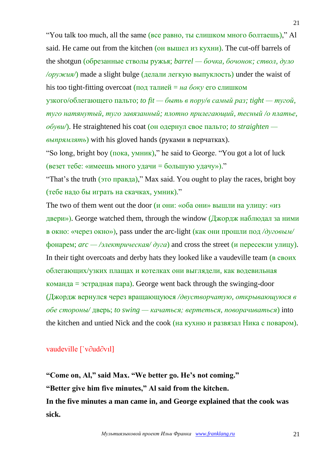"You talk too much, all the same (все равно, ты слишком много болтаешь)," Al said. He came out from the kitchen (он вышел из кухни). The cut-off barrels of the shotgun (обрезанные стволы ружья; *barrel — бочка, бочонок; ствол, дуло /оружия/*) made a slight bulge (делали легкую выпуклость) under the waist of his too tight-fitting overcoat (под талией = *на боку* его слишком

узкого/облегающего пальто; *to fit — быть в пору/в самый раз; tight — тугой, туго натянутый, туго завязанный; плотно прилегающий, тесный /о платье, обуви/*). He straightened his coat (он одернул свое пальто; *to straighten выпрямлять*) with his gloved hands (руками в перчатках).

"So long, bright boy (пока, умник)," he said to George. "You got a lot of luck (везет тебе: «имеешь много удачи = большую удачу»)."

"That's the truth (это правда)," Max said. You ought to play the races, bright boy (тебе надо бы играть на скачках, умник)."

The two of them went out the door (и они: «оба они» вышли на улицу: «из двери»). George watched them, through the window (Джордж наблюдал за ними в окно: «через окно»), pass under the arc-light (как они прошли под */дуговым/* фонарем;  $arc -$  /электрическая/ $\partial yca$  and cross the street (и пересекли улицу). In their tight overcoats and derby hats they looked like a vaudeville team (в своих облегающих/узких плащах и котелках они выглядели, как водевильная команда = эстрадная пара). George went back through the swinging-door (Джордж вернулся через вращающуюся */двустворчатую, открывающуюся в обе стороны/* дверь; *to swing — качаться; вертеться, поворачиваться*) into the kitchen and untied Nick and the cook (на кухню и развязал Ника с поваром).

## vaudeville [`v∂ud∂vıl]

**"Come on, Al," said Max. "We better go. He's not coming." "Better give him five minutes," Al said from the kitchen. In the five minutes a man came in, and George explained that the cook was sick.**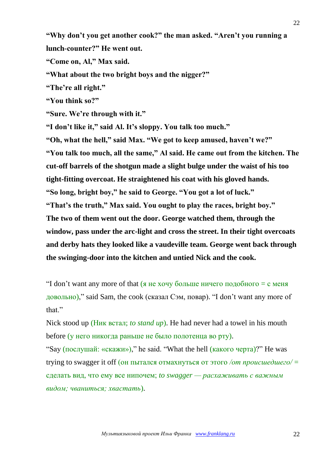**"Why don't you get another cook?" the man asked. "Aren't you running a lunch-counter?" He went out.**

**"Come on, Al," Max said.**

**"What about the two bright boys and the nigger?"**

**"The're all right."**

**"You think so?"**

**"Sure. We're through with it."**

**"I don't like it," said Al. It's sloppy. You talk too much."**

**"Oh, what the hell," said Max. "We got to keep amused, haven't we?" "You talk too much, all the same," Al said. He came out from the kitchen. The cut-off barrels of the shotgun made a slight bulge under the waist of his too tight-fitting overcoat. He straightened his coat with his gloved hands. "So long, bright boy," he said to George. "You got a lot of luck." "That's the truth," Max said. You ought to play the races, bright boy." The two of them went out the door. George watched them, through the window, pass under the arc-light and cross the street. In their tight overcoats and derby hats they looked like a vaudeville team. George went back through the swinging-door into the kitchen and untied Nick and the cook.**

"I don't want any more of that (я не хочу больше ничего подобного  $= c$  меня довольно)," said Sam, the cook (сказал Сэм, повар). "I don't want any more of that."

Nick stood up (Ник встал; *to stand up*). He had never had a towel in his mouth before (у него никогда раньше не было полотенца во рту).

"Say (послушай: «скажи»)," he said. "What the hell (какого черта)?" He was trying to swagger it off (он пытался отмахнуться от этого */от происшедшего/* = сделать вид, что ему все нипочем; *to swagger — расхаживать с важным видом; чваниться; хвастать*).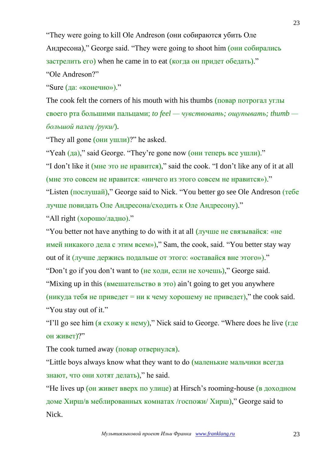"They were going to kill Ole Andreson (они собираются убить Оле

Андресона)," George said. "They were going to shoot him (они собирались

застрелить его) when he came in to eat (когда он придет обедать)."

"Ole Andreson?"

"Sure (да: «конечно»)."

The cook felt the corners of his mouth with his thumbs (повар потрогал углы своего рта большими пальцами; *to feel — чувствовать; ощупывать; thumb большой палец /руки/*).

"They all gone (они ушли)?" he asked.

"Yeah (да)," said George. "They're gone now (они теперь все ушли)."

"I don't like it (мне это не нравится)," said the cook. "I don't like any of it at all (мне это совсем не нравится: «ничего из этого совсем не нравится»)."

"Listen (послушай)," George said to Nick. "You better go see Ole Andreson (тебе лучше повидать Оле Андресона/сходить к Оле Андресону)."

"All right (хорошо/ладно)."

"You better not have anything to do with it at all (лучше не связывайся: «не имей никакого дела с этим всем»)," Sam, the cook, said. "You better stay way out of it (лучше держись подальше от этого: «оставайся вне этого»)."

"Don't go if you don't want to (не ходи, если не хочешь)," George said.

"Mixing up in this (**вмешательство в это**) ain't going to get you anywhere

(никуда тебя не приведет = ни к чему хорошему не приведет)," the cook said. "You stay out of it."

"I'll go see him (я схожу к нему)," Nick said to George. "Where does he live (где он живет)?"

The cook turned away (повар отвернулся).

"Little boys always know what they want to do (маленькие мальчики всегда знают, что они хотят делать)," he said.

"He lives up (он живет вверх по улице) at Hirsch's rooming-house (в доходном доме Хирш/в меблированных комнатах /госпожи/ Хирш)," George said to Nick.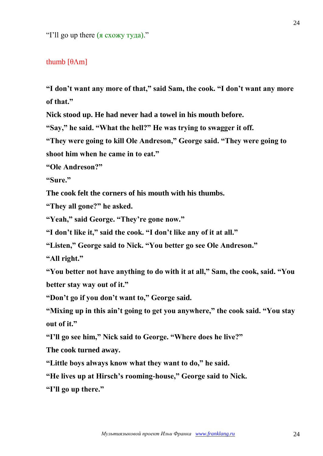"I'll go up there (я схожу туда)."

#### thumb  $[θ\Lambda m]$

**"I don't want any more of that," said Sam, the cook. "I don't want any more of that."**

**Nick stood up. He had never had a towel in his mouth before.**

**"Say," he said. "What the hell?" He was trying to swagger it off.**

**"They were going to kill Ole Andreson," George said. "They were going to shoot him when he came in to eat."**

**"Ole Andreson?"**

**"Sure."**

**The cook felt the corners of his mouth with his thumbs.**

**"They all gone?" he asked.**

**"Yeah," said George. "They're gone now."**

**"I don't like it," said the cook. "I don't like any of it at all."**

**"Listen," George said to Nick. "You better go see Ole Andreson."**

**"All right."**

**"You better not have anything to do with it at all," Sam, the cook, said. "You better stay way out of it."**

**"Don't go if you don't want to," George said.**

**"Mixing up in this ain't going to get you anywhere," the cook said. "You stay out of it."**

**"I'll go see him," Nick said to George. "Where does he live?"**

**The cook turned away.**

**"Little boys always know what they want to do," he said.**

**"He lives up at Hirsch's rooming-house," George said to Nick.**

**"I'll go up there."**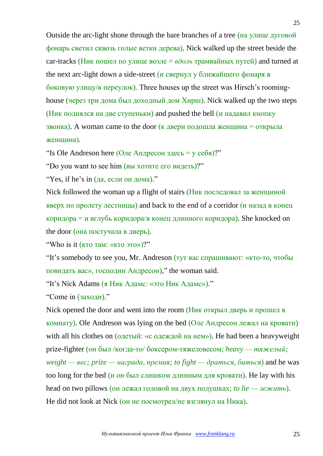Outside the arc-light shone through the bare branches of a tree (на улице дуговой фонарь светил сквозь голые ветки дерева). Nick walked up the street beside the car-tracks (Ник пошел по улице возле  $= \epsilon \partial \omega \bar{\omega}$  трамвайных путей) and turned at the next arc-light down a side-street (и свернул у ближайшего фонаря в боковую улицу/в переулок). Three houses up the street was Hirsch's roominghouse (через три дома был доходный дом Хирш). Nick walked up the two steps (Ник поднялся на две ступеньки) and pushed the bell (и надавил кнопку звонка). A woman came to the door (к двери подошла женщина = открыла женщина).

"Is Ole Andreson here (Оле Андресон здесь = у себя)?"

"Do you want to see him (вы хотите его видеть)?"

"Yes, if he's in (да, если он дома)."

Nick followed the woman up a flight of stairs (Ник последовал за женщиной вверх по пролету лестницы) and back to the end of a corridor  $(u$  назад в конец коридора = и вглубь коридора/в конец длинного коридора). She knocked on the door (она постучала в дверь).

"Who is it (кто там: «кто это»)?"

"It's somebody to see you, Mr. Andreson (тут вас спрашивают: «кто-то, чтобы повидать вас», господин Андресон)," the woman said.

"It's Nick Adams (я Ник Адамс: «это Ник Адамс»)."

"Come in (заходи)."

Nick opened the door and went into the room (Ник открыл дверь и прошел в комнату). Ole Andreson was lying on the bed (Оле Андресон лежал на кровати) with all his clothes on (одетый: «с одеждой на нем»). He had been a heavyweight prize-fighter (он был /когда-то/ боксером-тяжеловесом; *heavy — тяжелый; weight — вес; prize — награда, премия; to fight — драться, биться*) and he was too long for the bed (и он был слишком длинным для кровати). He lay with his head on two pillows (он лежал головой на двух подушках; *to lie — лежать*). He did not look at Nick (он не посмотрел/не взглянул на Ника).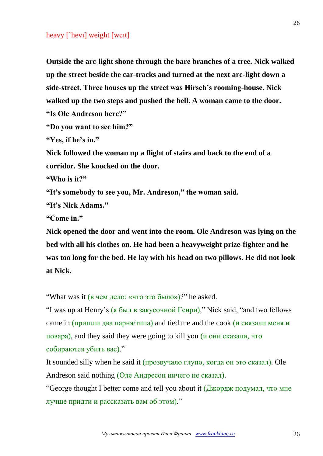#### heavy [`hevı] weight [weıt]

**Outside the arc-light shone through the bare branches of a tree. Nick walked up the street beside the car-tracks and turned at the next arc-light down a side-street. Three houses up the street was Hirsch's rooming-house. Nick walked up the two steps and pushed the bell. A woman came to the door. "Is Ole Andreson here?"**

```
"Do you want to see him?"
```
**"Yes, if he's in."**

**Nick followed the woman up a flight of stairs and back to the end of a corridor. She knocked on the door.**

**"Who is it?"**

**"It's somebody to see you, Mr. Andreson," the woman said.**

**"It's Nick Adams."**

**"Come in."**

**Nick opened the door and went into the room. Ole Andreson was lying on the bed with all his clothes on. He had been a heavyweight prize-fighter and he was too long for the bed. He lay with his head on two pillows. He did not look at Nick.**

"What was it (в чем дело: «что это было»)?" he asked.

"I was up at Henry's (я был в закусочной Генри)," Nick said, "and two fellows came in  $(\text{пришли два парня/типа})$  and tied me and the cook (и связали меня и повара), and they said they were going to kill you (и они сказали, что собираются убить вас)."

It sounded silly when he said it (прозвучало глупо, когда он это сказал). Ole Andreson said nothing (Оле Андресон ничего не сказал).

"George thought I better come and tell you about it (Джордж подумал, что мне лучше придти и рассказать вам об этом)."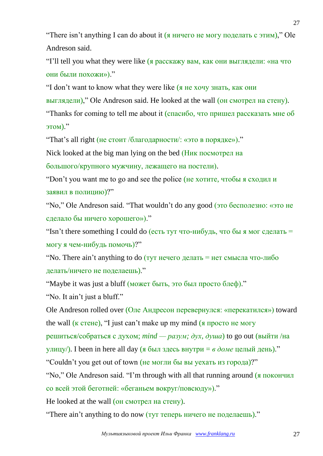"There isn't anything I can do about it (я ничего не могу поделать с этим)," Ole Andreson said.

"I'll tell you what they were like (я расскажу вам, как они выглядели: «на что они были похожи»)."

"I don't want to know what they were like (я не хочу знать, как они

выглядели)," Ole Andreson said. He looked at the wall (он смотрел на стену).

"Thanks for coming to tell me about it (спасибо, что пришел рассказать мне об этом)."

"That's all right (не стоит /благодарности/: «это в порядке»)."

Nick looked at the big man lying on the bed (Ник посмотрел на

большого/крупного мужчину, лежащего на постели).

"Don't you want me to go and see the police (не хотите, чтобы я сходил и заявил в полицию)?"

"No," Ole Andreson said. "That wouldn't do any good (это бесполезно: «это не сделало бы ничего хорошего»)."

"Isn't there something I could do (есть тут что-нибудь, что бы я мог сделать = могу я чем-нибудь помочь)?"

"No. There ain't anything to do ( $\overline{T}$  нечего делать = нет смысла что-либо делать/ничего не поделаешь)."

"Maybe it was just a bluff (может быть, это был просто блеф)."

"No. It ain't just a bluff."

Ole Andreson rolled over (Оле Андресон перевернулся: «перекатился») toward the wall  $(K \text{ crehe})$ , "I just can't make up my mind  $(K \text{ gropto})$  не могу

решиться/собраться с духом; *mind — разум; дух, душа*) to go out (выйти /на

улицу/). I been in here all day (я был здесь внутри = *в доме* целый день)."

"Couldn't you get out of town (не могли бы вы уехать из города)?"

"No," Ole Andreson said. "I'm through with all that running around (я покончил со всей этой беготней: «беганьем вокруг/повсюду»)."

He looked at the wall (он смотрел на стену).

"There ain't anything to do now (тут теперь ничего не поделаешь)."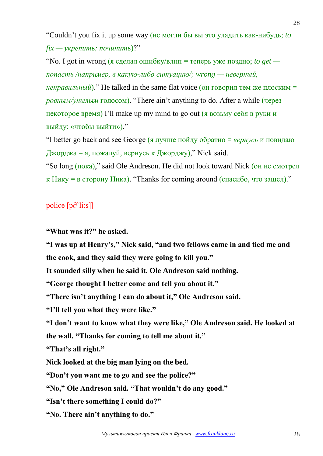"Couldn't you fix it up some way (не могли бы вы это уладить как-нибудь; *to fix — укрепить; починить*)?"

"No. I got in wrong (я сделал ошибку/влип = теперь уже поздно; *to get попасть /например, в какую-либо ситуацию/; wrong — неверный, ." He talked in the same flat voice (он говорил тем же плоским = ровным/унылым* голосом). "There ain't anything to do. After a while (через некоторое время) I'll make up my mind to go out (я возьму себя в руки и выйду: «чтобы выйти»)."

"I better go back and see George (я лучше пойду обратно = *вернусь* и повидаю Джорджа = я, пожалуй, вернусь к Джорджу)," Nick said.

"So long (пока)," said Ole Andreson. He did not look toward Nick (он не смотрел  $\kappa$  Нику = в сторону Ника). "Thanks for coming around (спасибо, что зашел)."

police [p∂`li:s]]

**"What was it?" he asked.**

**"I was up at Henry's," Nick said, "and two fellows came in and tied me and the cook, and they said they were going to kill you."**

**It sounded silly when he said it. Ole Andreson said nothing.**

**"George thought I better come and tell you about it."**

**"There isn't anything I can do about it," Ole Andreson said.**

**"I'll tell you what they were like."**

**"I don't want to know what they were like," Ole Andreson said. He looked at the wall. "Thanks for coming to tell me about it."**

**"That's all right."**

**Nick looked at the big man lying on the bed.**

**"Don't you want me to go and see the police?"**

**"No," Ole Andreson said. "That wouldn't do any good."**

**"Isn't there something I could do?"**

**"No. There ain't anything to do."**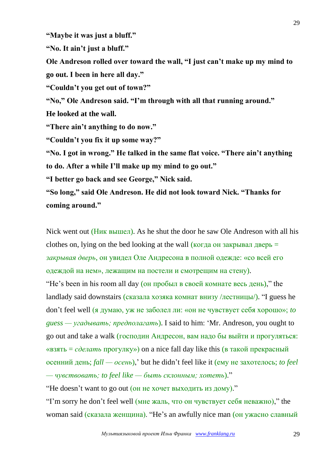**"Maybe it was just a bluff."**

**"No. It ain't just a bluff."**

**Ole Andreson rolled over toward the wall, "I just can't make up my mind to go out. I been in here all day."**

**"Couldn't you get out of town?"**

**"No," Ole Andreson said. "I'm through with all that running around." He looked at the wall.**

**"There ain't anything to do now."**

**"Couldn't you fix it up some way?"**

**"No. I got in wrong." He talked in the same flat voice. "There ain't anything to do. After a while I'll make up my mind to go out."**

**"I better go back and see George," Nick said.**

**"So long," said Ole Andreson. He did not look toward Nick. "Thanks for coming around."**

Nick went out (Ник вышел). As he shut the door he saw Ole Andreson with all his clothes on, lying on the bed looking at the wall  $\overline{(k_0r_0r_0)}$  on закрывал дверь = *закрывая дверь*, он увидел Оле Андресона в полной одежде: «со всей его одеждой на нем», лежащим на постели и смотрещим на стену).

"He's been in his room all day (он пробыл в своей комнате весь день)," the landlady said downstairs (сказала хозяка комнат внизу /лестницы/). "I guess he don't feel well (я думаю, уж не заболел ли: «он не чувствует себя хорошо»; *to guess — угадывать; предполагать*). I said to him: 'Mr. Andreson, you ought to go out and take a walk (господин Андресон, вам надо бы выйти и прогуляться: «взять = *сделать* прогулку») on a nice fall day like this (в такой прекрасный осенний день; *fall — осень*),' but he didn't feel like it (ему не захотелось; *to feel — чувствовать; to feel like — быть склонным; хотеть*)."

"He doesn't want to go out (он не хочет выходить из дому)."

"I'm sorry he don't feel well (мне жаль, что он чувствует себя неважно)," the woman said (сказала женщина). "He's an awfully nice man (он ужасно славный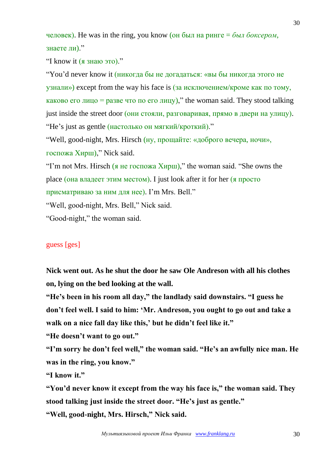человек). He was in the ring, you know (он был на ринге = *был боксером*, знаете ли)."

"I know it (я знаю это)."

"You'd never know it (никогда бы не догадаться: «вы бы никогда этого не узнали») except from the way his face is (за исключением/кроме как по тому, каково его лицо = разве что по его лицу)," the woman said. They stood talking just inside the street door (они стояли, разговаривая, прямо в двери на улицу). "He's just as gentle (настолько он мягкий/кроткий)."

"Well, good-night, Mrs. Hirsch (ну, прощайте: «доброго вечера, ночи», госпожа Хирш)," Nick said.

"I'm not Mrs. Hirsch (я не госпожа Хирш)," the woman said. "She owns the place (она владеет этим местом). I just look after it for her (я просто присматриваю за ним для нее). I'm Mrs. Bell."

"Well, good-night, Mrs. Bell," Nick said.

"Good-night," the woman said.

# guess [ges]

**Nick went out. As he shut the door he saw Ole Andreson with all his clothes on, lying on the bed looking at the wall.**

**"He's been in his room all day," the landlady said downstairs. "I guess he don't feel well. I said to him: 'Mr. Andreson, you ought to go out and take a walk on a nice fall day like this,' but he didn't feel like it."**

**"He doesn't want to go out."**

**"I'm sorry he don't feel well," the woman said. "He's an awfully nice man. He was in the ring, you know."**

**"I know it."**

**"You'd never know it except from the way his face is," the woman said. They stood talking just inside the street door. "He's just as gentle."**

**"Well, good-night, Mrs. Hirsch," Nick said.**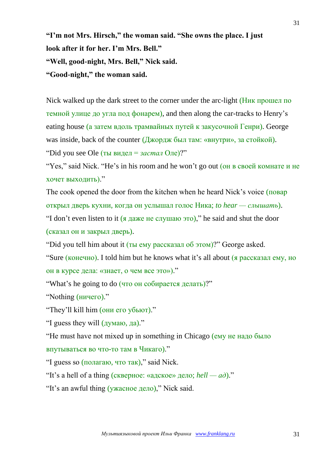**"I'm not Mrs. Hirsch," the woman said. "She owns the place. I just look after it for her. I'm Mrs. Bell." "Well, good-night, Mrs. Bell," Nick said. "Good-night," the woman said.**

Nick walked up the dark street to the corner under the arc-light (Ник прошел по темной улице до угла под фонарем), and then along the car-tracks to Henry's eating house (а затем вдоль трамвайных путей к закусочной Генри). George was inside, back of the counter  $(\frac{\pi w}{\sigma w})$  был там: «внутри», за стойкой). "Did you see Ole (ты видел = *застал* Оле)?"

"Yes," said Nick. "He's in his room and he won't go out (он в своей комнате и не хочет выходить)."

The cook opened the door from the kitchen when he heard Nick's voice (повар открыл дверь кухни, когда он услышал голос Ника; *to hear — слышать*).

"I don't even listen to it (я даже не слушаю это)," he said and shut the door (сказал он и закрыл дверь).

"Did you tell him about it (ты ему рассказал об этом)?" George asked.

"Sure (конечно). I told him but he knows what it's all about (я рассказал ему, но он в курсе дела: «знает, о чем все это»)."

"What's he going to do (что он собирается делать)?"

"Nothing (ничего)."

"They'll kill him (они его убьют)."

"I guess they will (думаю, да)."

"He must have not mixed up in something in Chicago (ему не надо было впутываться во что-то там в Чикаго)."

"I guess so (полагаю, что так)," said Nick.

"It's a hell of a thing (скверное: «адское» дело;  $\text{hell} - \text{ad}$ )."

"It's an awful thing (ужасное дело)," Nick said.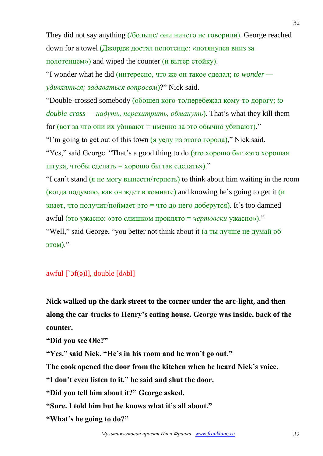They did not say anything (/больше/ они ничего не говорили). George reached down for a towel (Джордж достал полотенце: «потянулся вниз за полотенцем») and wiped the counter (и вытер стойку).

"I wonder what he did (интересно, что же он такое сделал; *to wonder удивляться; задаваться вопросом*)?" Nick said.

"Double-crossed somebody (обошел кого-то/перебежал кому-то дорогу; *to double-cross — надуть, перехитрить, обмануть*). That's what they kill them for (вот за что они их убивают = именно за это обычно убивают)."

"I'm going to get out of this town (<u>я уед</u>у из этого города)," Nick said.

"Yes," said George. "That's a good thing to do (это хорошо бы: «это хорошая штука, чтобы сделать = хорошо бы так сделать»)."

"I can't stand (я не могу вынести/терпеть) to think about him waiting in the room (когда подумаю, как он ждет в комнате) and knowing he's going to get it  $(u)$ знает, что получит/поймает это = что до него доберутся). It's too damned awful (это ужасно: «это слишком проклято = *чертовски* ужасно»)." "Well," said George, "you better not think about it (а ты лучше не думай об этом)."

## awful  $\lceil \Delta f(\phi) \rceil$ , double  $\lceil d \Delta f \rceil$

**Nick walked up the dark street to the corner under the arc-light, and then along the car-tracks to Henry's eating house. George was inside, back of the counter.**

**"Did you see Ole?"**

**"Yes," said Nick. "He's in his room and he won't go out."**

**The cook opened the door from the kitchen when he heard Nick's voice.**

**"I don't even listen to it," he said and shut the door.**

**"Did you tell him about it?" George asked.**

**"Sure. I told him but he knows what it's all about."**

**"What's he going to do?"**